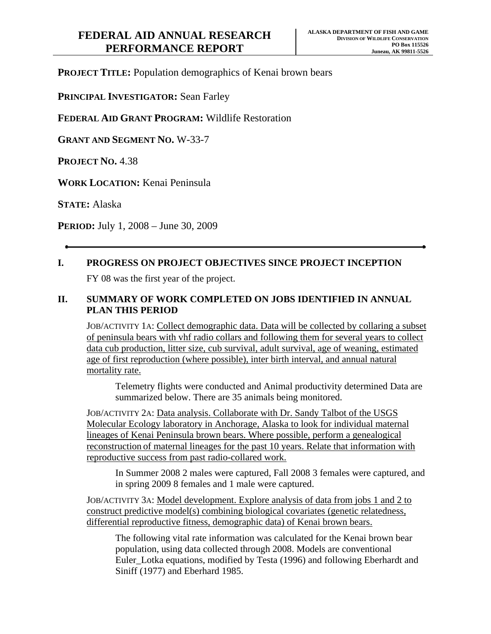**PROJECT TITLE:** Population demographics of Kenai brown bears

**PRINCIPAL INVESTIGATOR:** Sean Farley

**FEDERAL AID GRANT PROGRAM:** Wildlife Restoration

**GRANT AND SEGMENT NO.** W-33-7

**PROJECT NO.** 4.38

**WORK LOCATION:** Kenai Peninsula

**STATE:** Alaska

**PERIOD:** July 1, 2008 – June 30, 2009

# **I. PROGRESS ON PROJECT OBJECTIVES SINCE PROJECT INCEPTION**

FY 08 was the first year of the project.

## **II. SUMMARY OF WORK COMPLETED ON JOBS IDENTIFIED IN ANNUAL PLAN THIS PERIOD**

JOB/ACTIVITY 1A: Collect demographic data. Data will be collected by collaring a subset of peninsula bears with vhf radio collars and following them for several years to collect data cub production, litter size, cub survival, adult survival, age of weaning, estimated age of first reproduction (where possible), inter birth interval, and annual natural mortality rate.

Telemetry flights were conducted and Animal productivity determined Data are summarized below. There are 35 animals being monitored.

JOB/ACTIVITY 2A: Data analysis. Collaborate with Dr. Sandy Talbot of the USGS Molecular Ecology laboratory in Anchorage, Alaska to look for individual maternal lineages of Kenai Peninsula brown bears. Where possible, perform a genealogical reconstruction of maternal lineages for the past 10 years. Relate that information with reproductive success from past radio-collared work.

In Summer 2008 2 males were captured, Fall 2008 3 females were captured, and in spring 2009 8 females and 1 male were captured.

JOB/ACTIVITY 3A: Model development. Explore analysis of data from jobs 1 and 2 to construct predictive model(s) combining biological covariates (genetic relatedness, differential reproductive fitness, demographic data) of Kenai brown bears.

The following vital rate information was calculated for the Kenai brown bear population, using data collected through 2008. Models are conventional Euler\_Lotka equations, modified by Testa (1996) and following Eberhardt and Siniff (1977) and Eberhard 1985.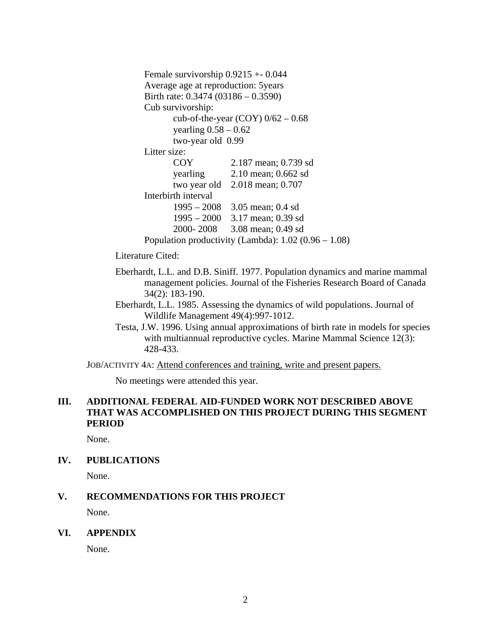```
Female survivorship 0.9215 +- 0.044 
Average age at reproduction: 5years 
Birth rate: 0.3474 (03186 – 0.3590) 
Cub survivorship: 
       cub-of-the-year (COY) 0/62 - 0.68yearling 0.58 - 0.62 two-year old 0.99 
Litter size:
       COY 2.187 mean; 0.739 sd 
        yearling 2.10 mean; 0.662 sd 
        two year old 2.018 mean; 0.707 
Interbirth interval 
        1995 – 2008 3.05 mean; 0.4 sd 
        1995 – 2000 3.17 mean; 0.39 sd 
        2000- 2008 3.08 mean; 0.49 sd 
Population productivity (Lambda): 1.02 (0.96 – 1.08)
```
Literature Cited:

- Eberhardt, L.L. and D.B. Siniff. 1977. Population dynamics and marine mammal management policies. Journal of the Fisheries Research Board of Canada 34(2): 183-190.
- Eberhardt, L.L. 1985. Assessing the dynamics of wild populations. Journal of Wildlife Management 49(4):997-1012.
- Testa, J.W. 1996. Using annual approximations of birth rate in models for species with multiannual reproductive cycles. Marine Mammal Science 12(3): 428-433.

JOB/ACTIVITY 4A: Attend conferences and training, write and present papers.

No meetings were attended this year.

## **III. ADDITIONAL FEDERAL AID-FUNDED WORK NOT DESCRIBED ABOVE THAT WAS ACCOMPLISHED ON THIS PROJECT DURING THIS SEGMENT PERIOD**

None.

**IV. PUBLICATIONS** 

None.

#### **V. RECOMMENDATIONS FOR THIS PROJECT**

None.

#### **VI. APPENDIX**

None.